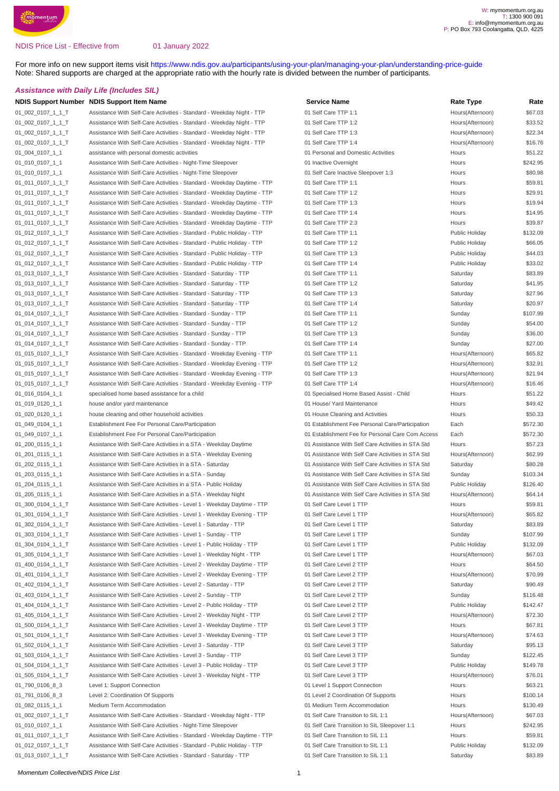#### NDIS Price List - Effective from

01 January 2022

For more info on new support items visit [https://www.ndis.gov.au/participants/using-your-plan/managing-your-plan/understanding-price-guide](https://www.ndis.gov.au/participants/using-your-plan/managing-your-plan/understanding-pricing-changes) Note: Shared supports are charged at the appropriate ratio with the hourly rate is divided between the number of participants.

#### **Assistance with Daily Life (Includes SIL)**

#### **NDIS Support Number** NDIS Support Item Name **Service Name** Service Name **Service Name** Rate Type Rate

| 01_002_0107_1_1_T  | Assistance With Self-Care Activities - Standard - Weekday Night - TTP   | 01 Self Care TTP 1:1                               | Hours(Afternoon) | \$67.03  |
|--------------------|-------------------------------------------------------------------------|----------------------------------------------------|------------------|----------|
| 01_002_0107_1_1_T  | Assistance With Self-Care Activities - Standard - Weekday Night - TTP   | 01 Self Care TTP 1:2                               | Hours(Afternoon) | \$33.52  |
| 01_002_0107_1_1_T  | Assistance With Self-Care Activities - Standard - Weekday Night - TTP   | 01 Self Care TTP 1:3                               | Hours(Afternoon) | \$22.34  |
| 01_002_0107_1_1_T  | Assistance With Self-Care Activities - Standard - Weekday Night - TTP   | 01 Self Care TTP 1:4                               | Hours(Afternoon) | \$16.76  |
| 01_004_0107_1_1    | assistance with personal domestic activities                            | 01 Personal and Domestic Activities                | Hours            | \$51.22  |
| 01_010_0107_1_1    | Assistance With Self-Care Activities - Night-Time Sleepover             | 01 Inactive Overnight                              | Hours            | \$242.95 |
| 01_010_0107_1_1    | Assistance With Self-Care Activities - Night-Time Sleepover             | 01 Self Care Inactive Sleepover 1:3                | Hours            | \$80.98  |
| 01_011_0107_1_1_T  | Assistance With Self-Care Activities - Standard - Weekday Daytime - TTP | 01 Self Care TTP 1:1                               | Hours            | \$59.81  |
| 01_011_0107_1_1_T  | Assistance With Self-Care Activities - Standard - Weekday Daytime - TTP | 01 Self Care TTP 1:2                               | Hours            | \$29.91  |
| 01_011_0107_1_1_T  | Assistance With Self-Care Activities - Standard - Weekday Daytime - TTP | 01 Self Care TTP 1:3                               | Hours            | \$19.94  |
| 01_011_0107_1_1_T  | Assistance With Self-Care Activities - Standard - Weekday Daytime - TTP | 01 Self Care TTP 1:4                               | Hours            | \$14.95  |
| 01_011_0107_1_1_T  | Assistance With Self-Care Activities - Standard - Weekday Daytime - TTP | 01 Self Care TTP 2:3                               | Hours            | \$39.87  |
| 01_012_0107_1_1_T  | Assistance With Self-Care Activities - Standard - Public Holiday - TTP  | 01 Self Care TTP 1:1                               | Public Holiday   | \$132.09 |
| $01_012_0107_11_1$ | Assistance With Self-Care Activities - Standard - Public Holiday - TTP  | 01 Self Care TTP 1:2                               | Public Holiday   | \$66.05  |
| 01_012_0107_1_1_T  | Assistance With Self-Care Activities - Standard - Public Holiday - TTP  | 01 Self Care TTP 1:3                               | Public Holiday   | \$44.03  |
| $01_012_0107_11_1$ | Assistance With Self-Care Activities - Standard - Public Holiday - TTP  | 01 Self Care TTP 1:4                               | Public Holiday   | \$33.02  |
| 01_013_0107_1_1_T  | Assistance With Self-Care Activities - Standard - Saturday - TTP        | 01 Self Care TTP 1:1                               | Saturday         | \$83.89  |
| 01_013_0107_1_1_T  | Assistance With Self-Care Activities - Standard - Saturday - TTP        | 01 Self Care TTP 1:2                               | Saturday         | \$41.95  |
|                    | Assistance With Self-Care Activities - Standard - Saturday - TTP        | 01 Self Care TTP 1:3                               | Saturday         | \$27.96  |
| 01_013_0107_1_1_T  | Assistance With Self-Care Activities - Standard - Saturday - TTP        | 01 Self Care TTP 1:4                               |                  | \$20.97  |
| 01_013_0107_1_1_T  |                                                                         |                                                    | Saturday         | \$107.99 |
| 01_014_0107_1_1_T  | Assistance With Self-Care Activities - Standard - Sunday - TTP          | 01 Self Care TTP 1:1                               | Sunday           | \$54.00  |
| 01_014_0107_1_1_T  | Assistance With Self-Care Activities - Standard - Sunday - TTP          | 01 Self Care TTP 1:2<br>01 Self Care TTP 1:3       | Sunday           |          |
| $01_014_0107_11_1$ | Assistance With Self-Care Activities - Standard - Sunday - TTP          |                                                    | Sunday           | \$36.00  |
| 01_014_0107_1_1_T  | Assistance With Self-Care Activities - Standard - Sunday - TTP          | 01 Self Care TTP 1:4                               | Sunday           | \$27.00  |
| 01_015_0107_1_1_T  | Assistance With Self-Care Activities - Standard - Weekday Evening - TTP | 01 Self Care TTP 1:1                               | Hours(Afternoon) | \$65.82  |
| 01_015_0107_1_1_T  | Assistance With Self-Care Activities - Standard - Weekday Evening - TTP | 01 Self Care TTP 1:2                               | Hours(Afternoon) | \$32.91  |
| 01_015_0107_1_1_T  | Assistance With Self-Care Activities - Standard - Weekday Evening - TTP | 01 Self Care TTP 1:3                               | Hours(Afternoon) | \$21.94  |
| 01_015_0107_1_1_T  | Assistance With Self-Care Activities - Standard - Weekday Evening - TTP | 01 Self Care TTP 1:4                               | Hours(Afternoon) | \$16.46  |
| 01_016_0104_1_1    | specialised home based assistance for a child                           | 01 Specialised Home Based Assist - Child           | Hours            | \$51.22  |
| 01_019_0120_1_1    | house and/or yard maintenance                                           | 01 House/ Yard Maintenance                         | Hours            | \$49.42  |
| 01_020_0120_1_1    | house cleaning and other household activities                           | 01 House Cleaning and Activities                   | Hours            | \$50.33  |
| 01_049_0104_1_1    | Establishment Fee For Personal Care/Participation                       | 01 Establishment Fee Personal Care/Participation   | Each             | \$572.30 |
| 01_049_0107_1_1    | Establishment Fee For Personal Care/Participation                       | 01 Establishment Fee for Personal Care Com Access  | Each             | \$572.30 |
| 01_200_0115_1_1    | Assistance With Self-Care Activities in a STA - Weekday Daytime         | 01 Assistance With Self Care Activities in STA Std | Hours            | \$57.23  |
| 01_201_0115_1_1    | Assistance With Self-Care Activities in a STA - Weekday Evening         | 01 Assistance With Self Care Activities in STA Std | Hours(Afternoon) | \$62.99  |
| 01_202_0115_1_1    | Assistance With Self-Care Activities in a STA - Saturday                | 01 Assistance With Self Care Activities in STA Std | Saturday         | \$80.28  |
| 01_203_0115_1_1    | Assistance With Self-Care Activities in a STA - Sunday                  | 01 Assistance With Self Care Activities in STA Std | Sunday           | \$103.34 |
| 01_204_0115_1_1    | Assistance With Self-Care Activities in a STA - Public Holiday          | 01 Assistance With Self Care Activities in STA Std | Public Holiday   | \$126.40 |
| 01_205_0115_1_1    | Assistance With Self-Care Activities in a STA - Weekday Night           | 01 Assistance With Self Care Activities in STA Std | Hours(Afternoon) | \$64.14  |
| 01_300_0104_1_1_T  | Assistance With Self-Care Activities - Level 1 - Weekday Daytime - TTP  | 01 Self Care Level 1 TTP                           | Hours            | \$59.81  |
| 01_301_0104_1_1_T  | Assistance With Self-Care Activities - Level 1 - Weekday Evening - TTP  | 01 Self Care Level 1 TTP                           | Hours(Afternoon) | \$65.82  |
| 01_302_0104_1_1_T  | Assistance With Self-Care Activities - Level 1 - Saturday - TTP         | 01 Self Care Level 1 TTP                           | Saturday         | \$83.89  |
| 01_303_0104_1_1_T  | Assistance With Self-Care Activities - Level 1 - Sunday - TTP           | 01 Self Care Level 1 TTP                           | Sunday           | \$107.99 |
| 01 304 0104 1 1 T  | Assistance With Self-Care Activities - Level 1 - Public Holiday - TTP   | 01 Self Care Level 1 TTP                           | Public Holiday   | \$132.09 |
| 01_305_0104_1_1_T  | Assistance With Self-Care Activities - Level 1 - Weekday Night - TTP    | 01 Self Care Level 1 TTP                           | Hours(Afternoon) | \$67.03  |
| 01_400_0104_1_1_T  | Assistance With Self-Care Activities - Level 2 - Weekday Daytime - TTP  | 01 Self Care Level 2 TTP                           | Hours            | \$64.50  |
| 01_401_0104_1_1_T  | Assistance With Self-Care Activities - Level 2 - Weekday Evening - TTP  | 01 Self Care Level 2 TTP                           | Hours(Afternoon) | \$70.99  |
| 01_402_0104_1_1_T  | Assistance With Self-Care Activities - Level 2 - Saturday - TTP         | 01 Self Care Level 2 TTP                           | Saturday         | \$90.49  |
| 01_403_0104_1_1_T  | Assistance With Self-Care Activities - Level 2 - Sunday - TTP           | 01 Self Care Level 2 TTP                           | Sunday           | \$116.48 |
| 01 404 0104 1 1 T  | Assistance With Self-Care Activities - Level 2 - Public Holiday - TTP   | 01 Self Care Level 2 TTP                           | Public Holiday   | \$142.47 |
| 01_405_0104_1_1_T  | Assistance With Self-Care Activities - Level 2 - Weekday Night - TTP    | 01 Self Care Level 2 TTP                           | Hours(Afternoon) | \$72.30  |
| 01_500_0104_1_1_T  | Assistance With Self-Care Activities - Level 3 - Weekday Daytime - TTP  | 01 Self Care Level 3 TTP                           | Hours            | \$67.81  |
| 01_501_0104_1_1_T  | Assistance With Self-Care Activities - Level 3 - Weekday Evening - TTP  | 01 Self Care Level 3 TTP                           | Hours(Afternoon) | \$74.63  |
| 01_502_0104_1_1_T  | Assistance With Self-Care Activities - Level 3 - Saturday - TTP         | 01 Self Care Level 3 TTP                           | Saturday         | \$95.13  |
| 01_503_0104_1_1_T  | Assistance With Self-Care Activities - Level 3 - Sunday - TTP           | 01 Self Care Level 3 TTP                           | Sunday           | \$122.45 |
| 01_504_0104_1_1_T  | Assistance With Self-Care Activities - Level 3 - Public Holiday - TTP   | 01 Self Care Level 3 TTP                           | Public Holiday   | \$149.78 |
| 01_505_0104_1_1_T  | Assistance With Self-Care Activities - Level 3 - Weekday Night - TTP    | 01 Self Care Level 3 TTP                           | Hours(Afternoon) | \$76.01  |
| 01_790_0106_8_3    | Level 1: Support Connection                                             | 01 Level 1 Support Connection                      | Hours            | \$63.21  |
| 01_791_0106_8_3    | Level 2: Coordination Of Supports                                       | 01 Level 2 Coordination Of Supports                | Hours            | \$100.14 |
| 01_082_0115_1_1    | Medium Term Accommodation                                               | 01 Medium Term Accommodation                       | Hours            | \$130.49 |
| 01_002_0107_1_1_T  | Assistance With Self-Care Activities - Standard - Weekday Night - TTP   | 01 Self Care Transition to SIL 1:1                 | Hours(Afternoon) | \$67.03  |
| 01_010_0107_1_1    | Assistance With Self-Care Activities - Night-Time Sleepover             | 01 Self Care Transition to SIL Sleepover 1:1       | Hours            | \$242.95 |
| 01_011_0107_1_1_T  | Assistance With Self-Care Activities - Standard - Weekday Daytime - TTP | 01 Self Care Transition to SIL 1:1                 | Hours            | \$59.81  |
| 01_012_0107_1_1_T  | Assistance With Self-Care Activities - Standard - Public Holiday - TTP  | 01 Self Care Transition to SIL 1:1                 | Public Holiday   | \$132.09 |
| 01_013_0107_1_1_T  | Assistance With Self-Care Activities - Standard - Saturday - TTP        | 01 Self Care Transition to SIL 1:1                 | Saturday         | \$83.89  |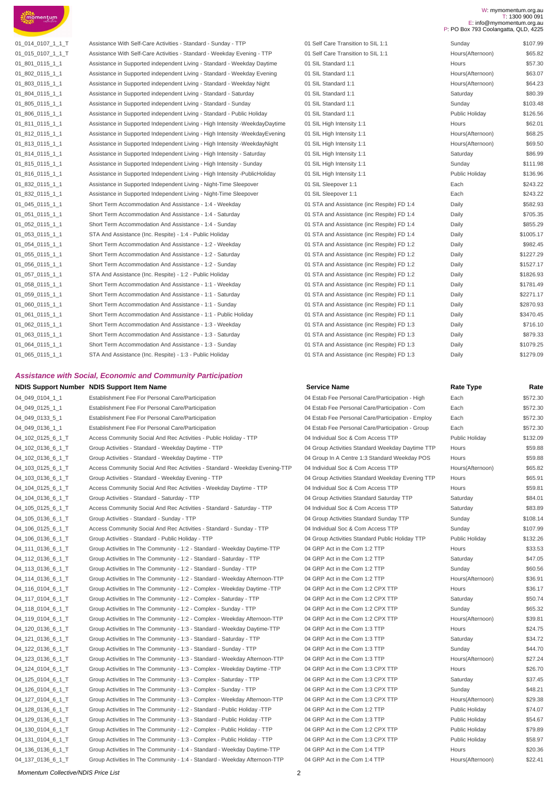

| 01_014_0107_1_1_T | Assistance With Self-Care Activities - Standard - Sunday - TTP                | 01 Self Care Transition to SIL 1:1         | Sunday           | \$107.99  |
|-------------------|-------------------------------------------------------------------------------|--------------------------------------------|------------------|-----------|
| 01_015_0107_1_1_T | Assistance With Self-Care Activities - Standard - Weekday Evening - TTP       | 01 Self Care Transition to SIL 1:1         | Hours(Afternoon) | \$65.82   |
| 01 801 0115 1 1   | Assistance in Supported independent Living - Standard - Weekday Daytime       | 01 SIL Standard 1:1                        | Hours            | \$57.30   |
| 01_802_0115_1_1   | Assistance in Supported independent Living - Standard - Weekday Evening       | 01 SIL Standard 1:1                        | Hours(Afternoon) | \$63.07   |
| 01_803_0115_1_1   | Assistance in Supported independent Living - Standard - Weekday Night         | 01 SIL Standard 1:1                        | Hours(Afternoon) | \$64.23   |
| 01 804 0115 1 1   | Assistance in Supported independent Living - Standard - Saturday              | 01 SIL Standard 1:1                        | Saturday         | \$80.39   |
| 01 805 0115 1 1   | Assistance in Supported independent Living - Standard - Sunday                | 01 SIL Standard 1:1                        | Sunday           | \$103.48  |
| 01 806 0115 1 1   | Assistance in Supported independent Living - Standard - Public Holiday        | 01 SIL Standard 1:1                        | Public Holiday   | \$126.56  |
| 01_811_0115_1_1   | Assistance in Supported Independent Living - High Intensity -WeekdayDaytime   | 01 SIL High Intensity 1:1                  | Hours            | \$62.01   |
| 01 812 0115 1 1   | Assistance in Supported Independent Living - High Intensity - Weekday Evening | 01 SIL High Intensity 1:1                  | Hours(Afternoon) | \$68.25   |
| 01 813 0115 1 1   | Assistance in Supported Independent Living - High Intensity - Weekday Night   | 01 SIL High Intensity 1:1                  | Hours(Afternoon) | \$69.50   |
| 01 814 0115 1 1   | Assistance in Supported Independent Living - High Intensity - Saturday        | 01 SIL High Intensity 1:1                  | Saturday         | \$86.99   |
| 01_815_0115_1_1   | Assistance in Supported Independent Living - High Intensity - Sunday          | 01 SIL High Intensity 1:1                  | Sunday           | \$111.98  |
| 01_816_0115_1_1   | Assistance in Supported Independent Living - High Intensity -PublicHoliday    | 01 SIL High Intensity 1:1                  | Public Holiday   | \$136.96  |
| 01 832 0115 1 1   | Assistance in Supported Independent Living - Night-Time Sleepover             | 01 SIL Sleepover 1:1                       | Each             | \$243.22  |
| 01 832 0115 1 1   | Assistance in Supported Independent Living - Night-Time Sleepover             | 01 SIL Sleepover 1:1                       | Each             | \$243.22  |
| 01_045_0115_1_1   | Short Term Accommodation And Assistance - 1:4 - Weekday                       | 01 STA and Assistance (inc Respite) FD 1:4 | Daily            | \$582.93  |
| 01_051_0115_1_1   | Short Term Accommodation And Assistance - 1:4 - Saturday                      | 01 STA and Assistance (inc Respite) FD 1:4 | Daily            | \$705.35  |
| 01 052 0115 1 1   | Short Term Accommodation And Assistance - 1:4 - Sunday                        | 01 STA and Assistance (inc Respite) FD 1:4 | Daily            | \$855.29  |
| 01_053_0115_1_1   | STA And Assistance (Inc. Respite) - 1:4 - Public Holiday                      | 01 STA and Assistance (inc Respite) FD 1:4 | Daily            | \$1005.17 |
| 01 054 0115 1 1   | Short Term Accommodation And Assistance - 1:2 - Weekday                       | 01 STA and Assistance (inc Respite) FD 1:2 | Daily            | \$982.45  |
| 01 055 0115 1 1   | Short Term Accommodation And Assistance - 1:2 - Saturday                      | 01 STA and Assistance (inc Respite) FD 1:2 | Daily            | \$1227.29 |
| 01 056 0115 1 1   | Short Term Accommodation And Assistance - 1:2 - Sunday                        | 01 STA and Assistance (inc Respite) FD 1:2 | Daily            | \$1527.17 |
| 01 057 0115 1 1   | STA And Assistance (Inc. Respite) - 1:2 - Public Holiday                      | 01 STA and Assistance (inc Respite) FD 1:2 | Daily            | \$1826.93 |
| 01 058 0115 1 1   | Short Term Accommodation And Assistance - 1:1 - Weekday                       | 01 STA and Assistance (inc Respite) FD 1:1 | Daily            | \$1781.49 |
| 01_059_0115_1_1   | Short Term Accommodation And Assistance - 1:1 - Saturday                      | 01 STA and Assistance (inc Respite) FD 1:1 | Daily            | \$2271.17 |
| 01 060 0115 1 1   | Short Term Accommodation And Assistance - 1:1 - Sunday                        | 01 STA and Assistance (inc Respite) FD 1:1 | Daily            | \$2870.93 |
| 01 061 0115 1 1   | Short Term Accommodation And Assistance - 1:1 - Public Holiday                | 01 STA and Assistance (inc Respite) FD 1:1 | Daily            | \$3470.45 |
| 01 062 0115 1 1   | Short Term Accommodation And Assistance - 1:3 - Weekday                       | 01 STA and Assistance (inc Respite) FD 1:3 | Daily            | \$716.10  |
| 01_063_0115_1_1   | Short Term Accommodation And Assistance - 1:3 - Saturday                      | 01 STA and Assistance (inc Respite) FD 1:3 | Daily            | \$879.33  |
| 01_064_0115_1_1   | Short Term Accommodation And Assistance - 1:3 - Sunday                        | 01 STA and Assistance (inc Respite) FD 1:3 | Daily            | \$1079.25 |
| 01 065 0115 1 1   | STA And Assistance (Inc. Respite) - 1:3 - Public Holiday                      | 01 STA and Assistance (inc Respite) FD 1:3 | Daily            | \$1279.09 |

#### **Assistance with Social, Economic and Community Participation**

#### **NDIS Support Number NDIS Support Item Name Service Name Service Name Service Name Rate** Type

| 04_049_0104_1_1   | Establishment Fee For Personal Care/Participation                           |
|-------------------|-----------------------------------------------------------------------------|
| 04_049_0125_1_1   | Establishment Fee For Personal Care/Participation                           |
| 04_049_0133_5_1   | Establishment Fee For Personal Care/Participation                           |
| 04_049_0136_1_1   | Establishment Fee For Personal Care/Participation                           |
| 04 102 0125 6 1 T | Access Community Social And Rec Activities - Public Holiday - TTP           |
| 04 102 0136 6 1 T | Group Activities - Standard - Weekday Daytime - TTP                         |
| 04 102 0136 6 1 T | Group Activities - Standard - Weekday Daytime - TTP                         |
| 04_103_0125_6_1_T | Access Community Social And Rec Activities - Standard - Weekday Evening-TTP |
| 04_103_0136_6_1_T | Group Activities - Standard - Weekday Evening - TTP                         |
| 04_104_0125_6_1_T | Access Community Social And Rec Activities - Weekday Daytime - TTP          |
| 04_104_0136_6_1_T | Group Activities - Standard - Saturday - TTP                                |
| 04_105_0125_6_1_T | Access Community Social And Rec Activities - Standard - Saturday - TTP      |
| 04_105_0136_6_1_T | Group Activities - Standard - Sunday - TTP                                  |
| 04_106_0125_6_1_T | Access Community Social And Rec Activities - Standard - Sunday - TTP        |
| 04_106_0136_6_1_T | Group Activities - Standard - Public Holiday - TTP                          |
| 04_111_0136_6_1_T | Group Activities In The Community - 1:2 - Standard - Weekday Daytime-TTP    |
| 04_112_0136_6_1_T | Group Activities In The Community - 1:2 - Standard - Saturday - TTP         |
| 04 113 0136 6 1 T | Group Activities In The Community - 1:2 - Standard - Sunday - TTP           |
| 04_114_0136_6_1_T | Group Activities In The Community - 1:2 - Standard - Weekday Afternoon-TTP  |
| 04 116 0104 6 1 T | Group Activities In The Community - 1:2 - Complex - Weekday Daytime -TTP    |
| 04_117_0104_6_1_T | Group Activities In The Community - 1:2 - Complex - Saturday - TTP          |
| 04_118_0104_6_1_T | Group Activities In The Community - 1:2 - Complex - Sunday - TTP            |
| 04_119_0104_6_1_T | Group Activities In The Community - 1:2 - Complex - Weekday Afternoon-TTP   |
| 04_120_0136_6_1_T | Group Activities In The Community - 1:3 - Standard - Weekday Daytime-TTP    |
| 04_121_0136_6_1_T | Group Activities In The Community - 1:3 - Standard - Saturday - TTP         |
| 04_122_0136_6_1_T | Group Activities In The Community - 1:3 - Standard - Sunday - TTP           |
| 04_123_0136_6_1_T | Group Activities In The Community - 1:3 - Standard - Weekday Afternoon-TTP  |
| 04_124_0104_6_1_T | Group Activities In The Community - 1:3 - Complex - Weekday Daytime -TTP    |
| 04_125_0104_6_1_T | Group Activities In The Community - 1:3 - Complex - Saturday - TTP          |
| 04_126_0104_6_1_T | Group Activities In The Community - 1:3 - Complex - Sunday - TTP            |
| 04_127_0104_6_1_T | Group Activities In The Community - 1:3 - Complex - Weekday Afternoon-TTP   |
| 04_128_0136_6_1_T | Group Activities In The Community - 1:2 - Standard - Public Holiday -TTP    |
| 04_129_0136_6_1_T | Group Activities In The Community - 1:3 - Standard - Public Holiday -TTP    |
| 04_130_0104_6_1_T | Group Activities In The Community - 1:2 - Complex - Public Holiday - TTP    |
| 04_131_0104_6_1_T | Group Activities In The Community - 1:3 - Complex - Public Holiday - TTP    |
| 04_136_0136_6_1_T | Group Activities In The Community - 1:4 - Standard - Weekday Daytime-TTP    |
| 04_137_0136_6_1_T | Group Activities In The Community - 1:4 - Standard - Weekday Afternoon-TTP  |

| 01 Self Care Transition to SIL 1:1         | Sunday           | \$107.99  |
|--------------------------------------------|------------------|-----------|
| 01 Self Care Transition to SIL 1:1         | Hours(Afternoon) | \$65.82   |
| 01 SIL Standard 1:1                        | Hours            | \$57.30   |
| 01 SIL Standard 1:1                        | Hours(Afternoon) | \$63.07   |
| 01 SIL Standard 1:1                        | Hours(Afternoon) | \$64.23   |
| 01 SIL Standard 1:1                        | Saturday         | \$80.39   |
| 01 SIL Standard 1:1                        | Sunday           | \$103.48  |
| 01 SIL Standard 1:1                        | Public Holiday   | \$126.56  |
| 01 SIL High Intensity 1:1                  | Hours            | \$62.01   |
| 01 SIL High Intensity 1:1                  | Hours(Afternoon) | \$68.25   |
| 01 SIL High Intensity 1:1                  | Hours(Afternoon) | \$69.50   |
| 01 SIL High Intensity 1:1                  | Saturday         | \$86.99   |
| 01 SIL High Intensity 1:1                  | Sunday           | \$111.98  |
| 01 SIL High Intensity 1:1                  | Public Holiday   | \$136.96  |
| 01 SIL Sleepover 1:1                       | Each             | \$243.22  |
| 01 SIL Sleepover 1:1                       | Each             | \$243.22  |
| 01 STA and Assistance (inc Respite) FD 1:4 | Daily            | \$582.93  |
| 01 STA and Assistance (inc Respite) FD 1:4 | Daily            | \$705.35  |
| 01 STA and Assistance (inc Respite) FD 1:4 | Daily            | \$855.29  |
| 01 STA and Assistance (inc Respite) FD 1:4 | Daily            | \$1005.17 |
| 01 STA and Assistance (inc Respite) FD 1:2 | Daily            | \$982.45  |
| 01 STA and Assistance (inc Respite) FD 1:2 | Daily            | \$1227.29 |
| 01 STA and Assistance (inc Respite) FD 1:2 | Daily            | \$1527.17 |
| 01 STA and Assistance (inc Respite) FD 1:2 | Daily            | \$1826.93 |
| 01 STA and Assistance (inc Respite) FD 1:1 | Daily            | \$1781.49 |
| 01 STA and Assistance (inc Respite) FD 1:1 | Daily            | \$2271.17 |
| 01 STA and Assistance (inc Respite) FD 1:1 | Daily            | \$2870.93 |
| 01 STA and Assistance (inc Respite) FD 1:1 | Daily            | \$3470.45 |
| 01 STA and Assistance (inc Respite) FD 1:3 | Daily            | \$716.10  |
| 01 STA and Assistance (inc Respite) FD 1:3 | Daily            | \$879.33  |
| 01 STA and Assistance (inc Respite) FD 1:3 | Daily            | \$1079.25 |
| 01 STA and Assistance (inc Respite) FD 1:3 | Daily            | \$1279.09 |

04 Estab Fee Personal Care/Participation - High Fee Personal Care/Participation - High 04 Estab Fee Personal Care/Participation - Com Each Ber 04 Estab Fee Personal Care/Participation - Employ E 04 Estab Fee Personal Care/Participation - Group E 04 Individual Soc & Com Access TTP 04 Group Activities Standard Weekday Daytime TTP H 04 Group In A Centre 1:3 Standard Weekday POS Hours 04 Individual Soc & Com Access TTP 04 Group Activities Standard Weekday Evening TTP 04 Individual Soc & Com Access TTP 04 Group Activities Standard Saturday TTP 04 Individual Soc & Com Access TTP 04 Group Activities Standard Sunday TTP 3106 04\_106\_0125\_6\_1\_T Access Community Social And Rec Activities - Standard - Sunday - TTP 04 Individual Soc & Com Access TTP Sunday \$107.99 04 Group Activities Standard Public Holiday TTP 04 GRP Act in the Com 1:2 TTP 04 GRP Act in the Com 1:2 TTP 04 GRP Act in the Com 1:2 TTP 04 GRP Act in the Com 1:2 TTP 04 GRP Act in the Com 1:2 CPX TTP 04 GRP Act in the Com 1:2 CPX TTP 04 GRP Act in the Com 1:2 CPX TTP 04 GRP Act in the Com 1:2 CPX TTP 04 GRP Act in the Com 1:3 TTP 04 GRP Act in the Com 1:3 TTP 04 GRP Act in the Com 1:3 TTP 04 GRP Act in the Com 1:3 TTP 04 GRP Act in the Com 1:3 CPX TTP 04 GRP Act in the Com 1:3 CPX TTP 32.4 GRP Act in the Com 1:3 CPX TTP 37.45 04 GRP Act in the Com 1:3 CPX TTP 34 GRP Act in the Com 1:3 CPX TTP 32.21 04 GRP Act in the Com 1:3 CPX TTP **Fig. - Weekly Afternoon-T** 04 GRP Act in the Com 1:2 TTP 04 GRP Act in the Com 1:3 TTP 6 GRP Act in the Com 1:3 TTP 94 GRP Act in the Com 1:3 TTP 94.67 04 GRP Act in the Com 1:2 CPX TTP F 04 GRP Act in the Com 1:3 CPX TTP FUGREE - Public Holiday - Public Holiday - Public Holiday - Public Holiday B 04 GRP Act in the Com 1:4 TTP 10016 - New York - Week 04 GRP Act in the Com 1:4 TTP

| रेate Type       | Rate     |
|------------------|----------|
| Each             | \$572.30 |
| Each             | \$572.30 |
| Each             | \$572.30 |
| Each             | \$572.30 |
| ublic Holiday    | \$132.09 |
| lours            | \$59.88  |
| lours            | \$59.88  |
| Iours(Afternoon) | \$65.82  |
| lours            | \$65.91  |
| lours            | \$59.81  |
| Saturday         | \$84.01  |
| Saturday         | \$83.89  |
| <b>Sunday</b>    | \$108.14 |
| <b>Sunday</b>    | \$107.99 |
| Public Holiday   | \$132.26 |
| lours            | \$33.53  |
| Saturday         | \$47.05  |
| <b>Sunday</b>    | \$60.56  |
| Iours(Afternoon) | \$36.91  |
| lours            | \$36.17  |
| Saturday         | \$50.74  |
| <b>Sunday</b>    | \$65.32  |
| Iours(Afternoon) | \$39.81  |
| lours            | \$24.75  |
| Saturday         | \$34.72  |
| <b>Sunday</b>    | \$44.70  |
| Iours(Afternoon) | \$27.24  |
| lours            | \$26.70  |
| Saturday         | \$37.45  |
| <b>Sunday</b>    | \$48.21  |
| Iours(Afternoon) | \$29.38  |
| ublic Holiday    | \$74.07  |
| ublic Holiday    | \$54.67  |
| ublic Holiday    | \$79.89  |
| ublic Holiday    | \$58.97  |
| lours            | \$20.36  |
| Iours(Afternoon) | \$22.41  |
|                  |          |

W: mymomentum.org.au T: 1300 900 091

E: info@mymomentum.org.au P: PO Box 793 Coolangatta, QLD, 4225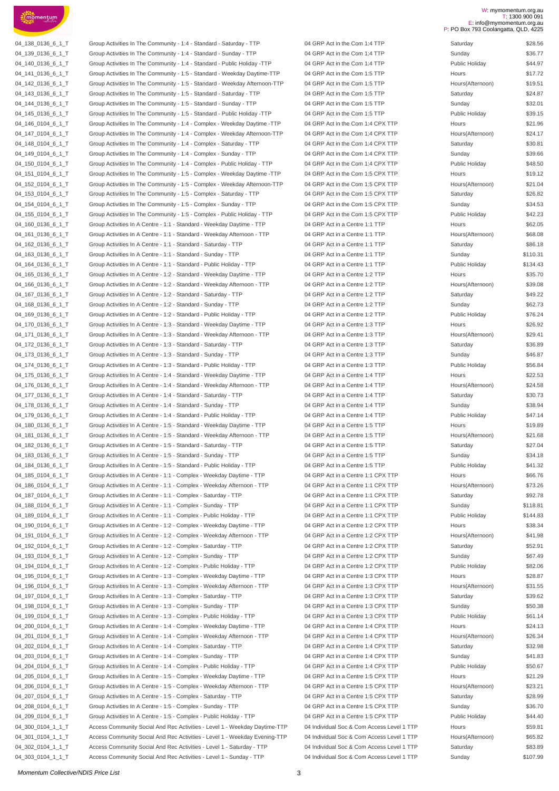

04\_138\_0136\_6\_1\_T Group Activities In The Community - 1:4 - Standard - Saturday - TTP 04 GRP Act in the Com 1:4 TTP Saturday \$28.56 04 139 0136 6 1 T Group Activities In The Community - 1:4 - Standard - Sunday - TTP 04 GRP Act in the Com 1:4 TTP 04\_140\_0136\_6\_1\_T Group Activities In The Community - 1:4 - Standard - Public Holiday -TTP 04 GRP Act in the Com 1:4 TTP 04\_141\_0136\_6\_1\_T Group Activities In The Community - 1:5 - Standard - Weekday Daytime-TTP 04 GRP Act in the Com 1:5 TTP 04\_142\_0136\_6\_1\_T Group Activities In The Community - 1:5 - Standard - Weekday Afternoon-TTP 04 GRP Act in the Com 1:5 TTP 04 143 0136 6 1 T Group Activities In The Community - 1:5 - Standard - Saturday - TTP 04 GRP Act in the Com 1:5 TTP 04 144 0136 6 1 T Group Activities In The Community - 1:5 - Standard - Sunday - TTP 04 GRP Act in the Com 1:5 TTP 04\_145\_0136\_6\_1\_T Group Activities In The Community - 1:5 - Standard - Public Holiday -TTP 04 GRP Act in the Com 1:5 TTP 04\_146\_0104\_6\_1\_T Group Activities In The Community - 1:4 - Complex - Weekday Daytime -TTP 04 GRP Act in the Com 1:4 CPX TTP 04\_147\_0104\_6\_1\_T Group Activities In The Community - 1:4 - Complex - Weekday Afternoon-TTP 04 GRP Act in the Com 1:4 CPX TTP 04 148 0104 6 1 T Group Activities In The Community - 1:4 - Complex - Saturday - TTP 04 GRP Act in the Com 1:4 CPX TTP 04 149 0104 6 1 T Group Activities In The Community - 1:4 - Complex - Sunday - TTP 04 GRP Act in the Com 1:4 CPX TTP 04 150 0104 6 1 T Group Activities In The Community - 1:4 - Complex - Public Holiday - TTP 04 GRP Act in the Com 1:4 CPX TTP 04 151 0104 6 1 T Group Activities In The Community - 1:5 - Complex - Weekday Daytime -TTP 04 GRP Act in the Com 1:5 CPX TTP 04\_152\_0104\_6\_1\_T Group Activities In The Community - 1:5 - Complex - Weekday Afternoon-TTP 04 GRP Act in the Com 1:5 CPX TTP 04 153\_0104\_6\_1\_T Group Activities In The Community - 1:5 - Complex - Saturday - TTP 04 GRP Act in the Com 1:5 CPX TTP 04 154 0104 6 1 T Group Activities In The Community - 1:5 - Complex - Sunday - TTP 04 GRP Act in the Com 1:5 CPX TTP 04 155 0104 6 1 T Group Activities In The Community - 1:5 - Complex - Public Holiday - TTP 04 GRP Act in the Com 1:5 CPX TTP 04\_160\_0136\_6\_1\_T Group Activities In A Centre - 1:1 - Standard - Weekday Daytime - TTP 04 GRP Act in a Centre 1:1 TTP 04 161 0136 6 1 T Group Activities In A Centre - 1:1 - Standard - Weekday Afternoon - TTP 04 GRP Act in a Centre 1:1 TTP 04\_162\_0136\_6\_1\_T Group Activities In A Centre - 1:1 - Standard - Saturday - TTP 04 GRP Act in a Centre 1:1 TTP 04 163 0136 6 1 T Group Activities In A Centre - 1:1 - Standard - Sunday - TTP 04 GRP Act in a Centre 1:1 TTP 04 164 0136 6 1 T Group Activities In A Centre - 1:1 - Standard - Public Holiday - TTP 04 GRP Act in a Centre 1:1 TTP 04\_165\_0136\_6\_1\_T Group Activities In A Centre - 1:2 - Standard - Weekday Daytime - TTP 04 GRP Act in a Centre 1:2 TTP 04 166 0136 6 1 T Group Activities In A Centre - 1:2 - Standard - Weekday Afternoon - TTP 04 GRP Act in a Centre 1:2 TTP 04\_167\_0136\_6\_1\_T Group Activities In A Centre - 1:2 - Standard - Saturday - TTP 04 GRP Act in a Centre 1:2 TTP 04\_168\_0136\_6\_1\_T Group Activities In A Centre - 1:2 - Standard - Sunday - TTP 04 GRP Act in a Centre 1:2 TTP 04 169 0136 6 1 T Group Activities In A Centre - 1:2 - Standard - Public Holiday - TTP 04 GRP Act in a Centre 1:2 TTP 04\_170\_0136\_6\_1\_T Group Activities In A Centre - 1:3 - Standard - Weekday Daytime - TTP 04 GRP Act in a Centre 1:3 TTP 04\_171\_0136\_6\_1\_T Group Activities In A Centre - 1:3 - Standard - Weekday Afternoon - TTP 04 GRP Act in a Centre 1:3 TTP 04\_172\_0136\_6\_1\_T Group Activities In A Centre - 1:3 - Standard - Saturday - TTP 04 GRP Act in a Centre 1:3 TTP 04 173 0136 6 1 T Group Activities In A Centre - 1:3 - Standard - Sunday - TTP 04 GRP Act in a Centre 1:3 TTP 04 174 0136 6 1 T Group Activities In A Centre - 1:3 - Standard - Public Holiday - TTP 04 GRP Act in a Centre 1:3 TTP 04\_175\_0136\_6\_1\_T Group Activities In A Centre - 1:4 - Standard - Weekday Daytime - TTP 04 GRP Act in a Centre 1:4 TTP 04\_176\_0136\_6\_1\_T Group Activities In A Centre - 1:4 - Standard - Weekday Afternoon - TTP 04 GRP Act in a Centre 1:4 TTP 04\_177\_0136\_6\_1\_T Group Activities In A Centre - 1:4 - Standard - Saturday - TTP 04 GRP Act in a Centre 1:4 TTP 04\_178\_0136\_6\_1\_T Group Activities In A Centre - 1:4 - Standard - Sunday - TTP  $\qquad 04$  GRP Act in a Centre 1:4 TTP 04\_179\_0136\_6\_1\_T Group Activities In A Centre - 1:4 - Standard - Public Holiday - TTP 04 GRP Act in a Centre 1:4 TTP Public Holiday \$47.14 04 180 0136 6 1 T Group Activities In A Centre - 1:5 - Standard - Weekday Daytime - TTP 04 GRP Act in a Centre 1:5 TTP 04\_181\_0136\_6\_1\_T Group Activities In A Centre - 1:5 - Standard - Weekday Afternoon - TTP 04 GRP Act in a Centre 1:5 TTP 04\_182\_0136\_6\_1\_T Group Activities In A Centre - 1:5 - Standard - Saturday - TTP 04 GRP Act in a Centre 1:5 TTP 04\_183\_0136\_6\_1\_T Group Activities In A Centre - 1:5 - Standard - Sunday - TTP 04 GRP Act in a Centre 1:5 TTP 04\_184\_0136\_6\_1\_T Group Activities In A Centre - 1:5 - Standard - Public Holiday - TTP 04 GRP Act in a Centre 1:5 TTP 04\_185\_0104\_6\_1\_T Group Activities In A Centre - 1:1 - Complex - Weekday Daytime - TTP 04 GRP Act in a Centre 1:1 CPX TTP 04\_186\_0104\_6\_1\_T Group Activities In A Centre - 1:1 - Complex - Weekday Afternoon - TTP 04 GRP Act in a Centre 1:1 CPX TTP 04\_187\_0104\_6\_1\_T Group Activities In A Centre - 1:1 - Complex - Saturday - TTP 04 GRP Act in a Centre 1:1 CPX TTP 04\_188\_0104\_6\_1\_T Group Activities In A Centre - 1:1 - Complex - Sunday - TTP 04 GRP Act in a Centre 1:1 CPX TTP 04 189 0104 6 1 T Group Activities In A Centre - 1:1 - Complex - Public Holiday - TTP 04 GRP Act in a Centre 1:1 CPX TTP 04\_190\_0104\_6\_1\_T Group Activities In A Centre - 1:2 - Complex - Weekday Daytime - TTP 04 GRP Act in a Centre 1:2 CPX TTP 04 191 0104 6 1 T Group Activities In A Centre - 1:2 - Complex - Weekday Afternoon - TTP 04 GRP Act in a Centre 1:2 CPX TTP 04\_192\_0104\_6\_1\_T Group Activities In A Centre - 1:2 - Complex - Saturday - TTP 04 GRP Act in a Centre 1:2 CPX TTP 04\_193\_0104\_6\_1\_T Group Activities In A Centre - 1:2 - Complex - Sunday - TTP 04 GRP Act in a Centre 1:2 CPX TTP 04 194 0104 6 1 T Group Activities In A Centre - 1:2 - Complex - Public Holiday - TTP 04 GRP Act in a Centre 1:2 CPX TTP 04 195 0104 6 1 T Group Activities In A Centre - 1:3 - Complex - Weekday Daytime - TTP 04 GRP Act in a Centre 1:3 CPX TTP 04 196 0104 6 1 T Group Activities In A Centre - 1:3 - Complex - Weekday Afternoon - TTP 04 GRP Act in a Centre 1:3 CPX TTP 04\_197\_0104\_6\_1\_T Group Activities In A Centre - 1:3 - Complex - Saturday - TTP 04 GRP Act in a Centre 1:3 CPX TTP 04\_198\_0104\_6\_1\_T Group Activities In A Centre - 1:3 - Complex - Sunday - TTP 04 GRP Act in a Centre 1:3 CPX TTP 04\_199\_0104\_6\_1\_T Group Activities In A Centre - 1:3 - Complex - Public Holiday - TTP 04 GRP Act in a Centre 1:3 CPX TTP 04 200\_0104\_6\_1\_T Group Activities In A Centre - 1:4 - Complex - Weekday Daytime - TTP 04 GRP Act in a Centre 1:4 CPX TTP 04 201 0104 6 1 T Group Activities In A Centre - 1:4 - Complex - Weekday Afternoon - TTP 04 GRP Act in a Centre 1:4 CPX TTP 04\_202\_0104\_6\_1\_T Group Activities In A Centre - 1:4 - Complex - Saturday - TTP 04 GRP Act in a Centre 1:4 CPX TTP 04 203 0104 6 1 T Group Activities In A Centre - 1:4 - Complex - Sunday - TTP 04 GRP Act in a Centre 1:4 CPX TTP 04\_204\_0104\_6\_1\_T Group Activities In A Centre - 1:4 - Complex - Public Holiday - TTP 04 GRP Act in a Centre 1:4 CPX TTP 04\_205\_0104\_6\_1\_T Group Activities In A Centre - 1:5 - Complex - Weekday Daytime - TTP 04 GRP Act in a Centre 1:5 CPX TTP 04 206 0104 6 1 T Group Activities In A Centre - 1:5 - Complex - Weekday Afternoon - TTP 04 GRP Act in a Centre 1:5 CPX TTP 04 207\_0104\_6\_1\_T Group Activities In A Centre - 1:5 - Complex - Saturday - TTP 04 GRP Act in a Centre 1:5 CPX TTP 04 208 0104 6 1 T Group Activities In A Centre - 1:5 - Complex - Sunday - TTP 04 GRP Act in a Centre 1:5 CPX TTP 04\_209\_0104\_6\_1\_T Group Activities In A Centre - 1:5 - Complex - Public Holiday - TTP 04 GRP Act in a Centre 1:5 CPX TTP 04\_300\_0104\_1\_1\_T Access Community Social And Rec Activities - Level 1 - Weekday Daytime-TTP 04 Individual Soc & Com Access Level 1 TTP 04 301\_0104\_1\_1\_T Access Community Social And Rec Activities - Level 1 - Weekday Evening-TTP 04 Individual Soc & Com Access Level 1 TTP 04\_302\_0104\_1\_1\_T Access Community Social And Rec Activities - Level 1 - Saturday - TTP 04 Individual Soc & Com Access Level 1 TTP

04 303 0104 1 1 T Access Community Social And Rec Activities - Level 1 - Sunday - TTP 04 Individual Soc & Com Access Level 1 TTP Sunday \$107.99

#### W: mymomentum.org.au T: 1300 900 091 E: info@mymomentum.org.au P: PO Box 793 Coolangatta, QLD, 4225

| Jalul ua j              | ש⊂∪.∪           |
|-------------------------|-----------------|
| <b>Sunday</b>           | \$36.77         |
| Public Holiday          | \$44.97         |
| lours                   | \$17.72         |
| lours(Afternoon)        | \$19.51         |
| Saturday                | \$24.87         |
|                         |                 |
| Sunday                  | \$32.01         |
| ublic Holiday           | \$39.15         |
| lours                   | \$21.96         |
| lours(Afternoon)        | \$24.17         |
| Saturday                | \$30.81         |
| Sunday                  | \$39.66         |
| ublic Holiday           | \$48.50         |
| lours                   | \$19.12         |
|                         |                 |
| lours(Afternoon)        | \$21.04         |
| Saturday                | \$26.82         |
| Sunday                  | \$34.53         |
| ublic Holiday           | \$42.23         |
| lours                   | \$62.05         |
| <b>lours(Afternoon)</b> | \$68.08         |
| Saturday                | \$86.18         |
| <b>Sunday</b>           | \$110.31        |
|                         |                 |
| ublic Holiday           | \$134.43        |
| lours                   | \$35.70         |
| Iours(Afternoon)        | \$39.08         |
| Saturday                | \$49.22         |
| Sunday                  | \$62.73         |
| ublic Holiday           | \$76.24         |
| lours                   | \$26.92         |
| Iours(Afternoon)        | \$29.41         |
|                         |                 |
| Saturday                | \$36.89         |
| Sunday                  | \$46.87         |
| ublic Holiday           | \$56.84         |
| lours                   | \$22.53         |
| lours(Afternoon)        | \$24.58         |
| Saturday                | \$30.73         |
| Sunday                  | \$38.94         |
| ublic Holiday           | \$47.14         |
| lours                   | \$19.89         |
| lours(Afternoon)        | \$21.68         |
| Saturday                | \$27.04         |
| <b>Sunday</b>           | \$34.18         |
| ublic Holiday           | \$41.32         |
|                         |                 |
| lours                   | \$66.76         |
| lours(Afternoon)        | \$73.26         |
| Saturday                | \$92.78         |
| <b>Sunday</b>           | \$118.81        |
| Public Holiday          | \$144.83        |
| lours                   | \$38.34         |
| Iours(Afternoon)        | \$41.98         |
| Saturday                | \$52.91         |
| Sunday                  | \$67.49         |
|                         |                 |
| ublic Holiday           | \$82.06         |
| lours                   | \$28.87         |
| Iours(Afternoon)        | \$31.55         |
| Saturday                | \$39.62         |
| Sunday                  | \$50.38         |
| ublic Holiday           | \$61.14         |
| lours                   | \$24.13         |
| Iours(Afternoon)        | \$26.34         |
|                         |                 |
| Saturday                | \$32.98         |
| Sunday                  | \$41.83         |
| ublic Holiday           | \$50.67         |
| lours                   | \$21.29         |
| lours(Afternoon)        | \$23.21         |
| Saturday                | \$28.99         |
| Sunday                  | \$36.70         |
| ublic Holiday           | \$44.40         |
| lours                   | \$59.81         |
| lours(Afternoon)        | \$65.82         |
| Saturday                | \$83.89         |
| $l$ nday                | <b>\$107.90</b> |
|                         |                 |